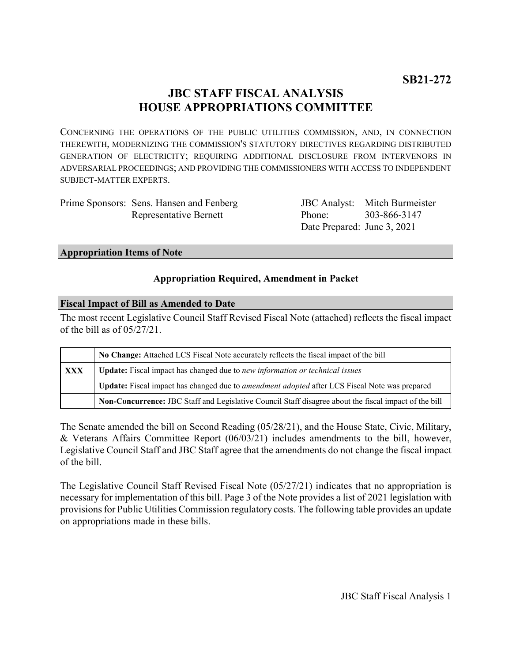# **JBC STAFF FISCAL ANALYSIS HOUSE APPROPRIATIONS COMMITTEE**

CONCERNING THE OPERATIONS OF THE PUBLIC UTILITIES COMMISSION, AND, IN CONNECTION THEREWITH, MODERNIZING THE COMMISSION'S STATUTORY DIRECTIVES REGARDING DISTRIBUTED GENERATION OF ELECTRICITY; REQUIRING ADDITIONAL DISCLOSURE FROM INTERVENORS IN ADVERSARIAL PROCEEDINGS; AND PROVIDING THE COMMISSIONERS WITH ACCESS TO INDEPENDENT SUBJECT-MATTER EXPERTS.

| Prime Sponsors: Sens. Hansen and Fenberg |
|------------------------------------------|
| <b>Representative Bernett</b>            |

JBC Analyst: Mitch Burmeister Phone: Date Prepared: June 3, 2021 303-866-3147

### **Appropriation Items of Note**

### **Appropriation Required, Amendment in Packet**

### **Fiscal Impact of Bill as Amended to Date**

The most recent Legislative Council Staff Revised Fiscal Note (attached) reflects the fiscal impact of the bill as of 05/27/21.

|            | No Change: Attached LCS Fiscal Note accurately reflects the fiscal impact of the bill                       |  |
|------------|-------------------------------------------------------------------------------------------------------------|--|
| <b>XXX</b> | <b>Update:</b> Fiscal impact has changed due to new information or technical issues                         |  |
|            | <b>Update:</b> Fiscal impact has changed due to <i>amendment adopted</i> after LCS Fiscal Note was prepared |  |
|            | Non-Concurrence: JBC Staff and Legislative Council Staff disagree about the fiscal impact of the bill       |  |

The Senate amended the bill on Second Reading (05/28/21), and the House State, Civic, Military, & Veterans Affairs Committee Report (06/03/21) includes amendments to the bill, however, Legislative Council Staff and JBC Staff agree that the amendments do not change the fiscal impact of the bill.

The Legislative Council Staff Revised Fiscal Note (05/27/21) indicates that no appropriation is necessary for implementation of this bill. Page 3 of the Note provides a list of 2021 legislation with provisions for Public Utilities Commission regulatory costs. The following table provides an update on appropriations made in these bills.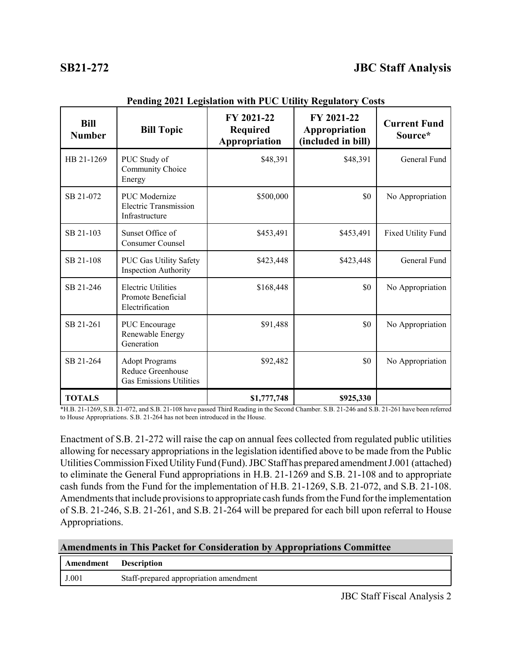| <b>Bill</b><br><b>Number</b> | <b>Bill Topic</b>                                                            | FY 2021-22<br><b>Required</b><br>Appropriation | FY 2021-22<br>Appropriation<br>(included in bill) | <b>Current Fund</b><br>Source* |  |
|------------------------------|------------------------------------------------------------------------------|------------------------------------------------|---------------------------------------------------|--------------------------------|--|
| HB 21-1269                   | PUC Study of<br>Community Choice<br>Energy                                   | \$48,391                                       | \$48,391                                          | General Fund                   |  |
| SB 21-072                    | <b>PUC</b> Modernize<br>Electric Transmission<br>Infrastructure              | \$500,000                                      | \$0                                               | No Appropriation               |  |
| SB 21-103                    | Sunset Office of<br>Consumer Counsel                                         | \$453,491                                      | \$453,491                                         | Fixed Utility Fund             |  |
| SB 21-108                    | PUC Gas Utility Safety<br><b>Inspection Authority</b>                        | \$423,448                                      | \$423,448                                         | General Fund                   |  |
| SB 21-246                    | <b>Electric Utilities</b><br>Promote Beneficial<br>Electrification           | \$168,448                                      | \$0                                               | No Appropriation               |  |
| SB 21-261                    | <b>PUC</b> Encourage<br>Renewable Energy<br>Generation                       | \$91,488                                       | \$0                                               | No Appropriation               |  |
| SB 21-264                    | <b>Adopt Programs</b><br>Reduce Greenhouse<br><b>Gas Emissions Utilities</b> | \$92,482                                       | \$0                                               | No Appropriation               |  |
| <b>TOTALS</b>                |                                                                              | \$1,777,748                                    | \$925,330                                         |                                |  |

**Pending 2021 Legislation with PUC Utility Regulatory Costs**

\*H.B. 21-1269, S.B. 21-072, and S.B. 21-108 have passed Third Reading in the Second Chamber. S.B. 21-246 and S.B. 21-261 have been referred to House Appropriations. S.B. 21-264 has not been introduced in the House.

Enactment of S.B. 21-272 will raise the cap on annual fees collected from regulated public utilities allowing for necessary appropriations in the legislation identified above to be made from the Public Utilities Commission Fixed Utility Fund (Fund). JBC Staff has prepared amendment J.001 (attached) to eliminate the General Fund appropriations in H.B. 21-1269 and S.B. 21-108 and to appropriate cash funds from the Fund for the implementation of H.B. 21-1269, S.B. 21-072, and S.B. 21-108. Amendments that include provisions to appropriate cash funds from the Fund for the implementation of S.B. 21-246, S.B. 21-261, and S.B. 21-264 will be prepared for each bill upon referral to House Appropriations.

| <b>Amendments in This Packet for Consideration by Appropriations Committee</b> |  |  |  |
|--------------------------------------------------------------------------------|--|--|--|
|--------------------------------------------------------------------------------|--|--|--|

| <b>Amendment</b> Description |                                        |
|------------------------------|----------------------------------------|
| J.001                        | Staff-prepared appropriation amendment |